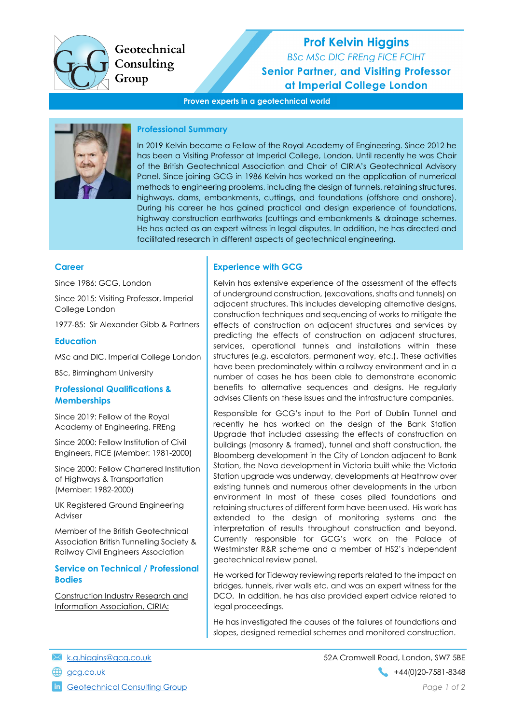

Geotechnical Consulting Group

# Prof Kelvin Higgins

BSc MSc DIC FREng FICE FCIHT Senior Partner, and Visiting Professor at Imperial College London

Proven experts in a geotechnical world



### Professional Summary

In 2019 Kelvin became a Fellow of the Royal Academy of Engineering. Since 2012 he has been a Visiting Professor at Imperial College, London. Until recently he was Chair of the British Geotechnical Association and Chair of CIRIA's Geotechnical Advisory Panel. Since joining GCG in 1986 Kelvin has worked on the application of numerical methods to engineering problems, including the design of tunnels, retaining structures, highways, dams, embankments, cuttings, and foundations (offshore and onshore). During his career he has gained practical and design experience of foundations, highway construction earthworks (cuttings and embankments & drainage schemes. He has acted as an expert witness in legal disputes. In addition, he has directed and facilitated research in different aspects of geotechnical engineering.

### **Career**

Since 1986: GCG, London

Since 2015: Visiting Professor, Imperial College London

1977-85: Sir Alexander Gibb & Partners

### **Education**

MSc and DIC, Imperial College London

BSc, Birmingham University

### Professional Qualifications & **Memberships**

Since 2019: Fellow of the Royal Academy of Engineering, FREng

Since 2000: Fellow Institution of Civil Engineers, FICE (Member: 1981-2000)

Since 2000: Fellow Chartered Institution of Highways & Transportation (Member: 1982-2000)

UK Registered Ground Engineering **Adviser** 

Member of the British Geotechnical Association British Tunnelling Society & Railway Civil Engineers Association

### Service on Technical / Professional Bodies

Construction Industry Research and Information Association, CIRIA:

# Experience with GCG

Kelvin has extensive experience of the assessment of the effects of underground construction, (excavations, shafts and tunnels) on adjacent structures. This includes developing alternative designs, construction techniques and sequencing of works to mitigate the effects of construction on adjacent structures and services by predicting the effects of construction on adjacent structures, services, operational tunnels and installations within these structures (e.g. escalators, permanent way, etc.). These activities have been predominately within a railway environment and in a number of cases he has been able to demonstrate economic benefits to alternative sequences and designs. He regularly advises Clients on these issues and the infrastructure companies.

Responsible for GCG's input to the Port of Dublin Tunnel and recently he has worked on the design of the Bank Station Upgrade that included assessing the effects of construction on buildings (masonry & framed), tunnel and shaft construction, the Bloomberg development in the City of London adjacent to Bank Station, the Nova development in Victoria built while the Victoria Station upgrade was underway, developments at Heathrow over existing tunnels and numerous other developments in the urban environment In most of these cases piled foundations and retaining structures of different form have been used. His work has extended to the design of monitoring systems and the interpretation of results throughout construction and beyond. Currently responsible for GCG's work on the Palace of Westminster R&R scheme and a member of HS2's independent geotechnical review panel.

He worked for Tideway reviewing reports related to the impact on bridges, tunnels, river walls etc. and was an expert witness for the DCO. In addition. he has also provided expert advice related to legal proceedings.

He has investigated the causes of the failures of foundations and slopes, designed remedial schemes and monitored construction.

- 
- 

**in** Geotechnical Consulting Group **Page 1 of 2** and 2 and 2 and 2 and 2 and 2 and 2 and 2 and 2 and 2 and 2 and 2 and 2 and 2 and 2 and 2 and 2 and 2 and 2 and 2 and 2 and 2 and 2 and 2 and 2 and 2 and 2 and 2 and 2 and 2

k.g.higgins@gcg.co.uk 52A Cromwell Road, London, SW7 5BE gcg.co.uk +44(0)20-7581-8348